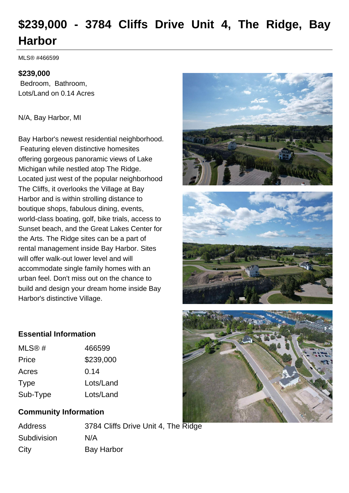# **\$239,000 - 3784 Cliffs Drive Unit 4, The Ridge, Bay Harbor**

MLS® #466599

### **\$239,000**

 Bedroom, Bathroom, Lots/Land on 0.14 Acres

N/A, Bay Harbor, MI

Bay Harbor's newest residential neighborhood. Featuring eleven distinctive homesites offering gorgeous panoramic views of Lake Michigan while nestled atop The Ridge. Located just west of the popular neighborhood The Cliffs, it overlooks the Village at Bay Harbor and is within strolling distance to boutique shops, fabulous dining, events, world-class boating, golf, bike trials, access to Sunset beach, and the Great Lakes Center for the Arts. The Ridge sites can be a part of rental management inside Bay Harbor. Sites will offer walk-out lower level and will accommodate single family homes with an urban feel. Don't miss out on the chance to build and design your dream home inside Bay Harbor's distinctive Village.







#### **Essential Information**

| MLS@#       | 466599    |
|-------------|-----------|
| Price       | \$239,000 |
| Acres       | 0.14      |
| <b>Type</b> | Lots/Land |
| Sub-Type    | Lots/Land |
|             |           |

## **Community Information**

Address 3784 Cliffs Drive Unit 4, The Ridge Subdivision N/A City **Bay Harbor**